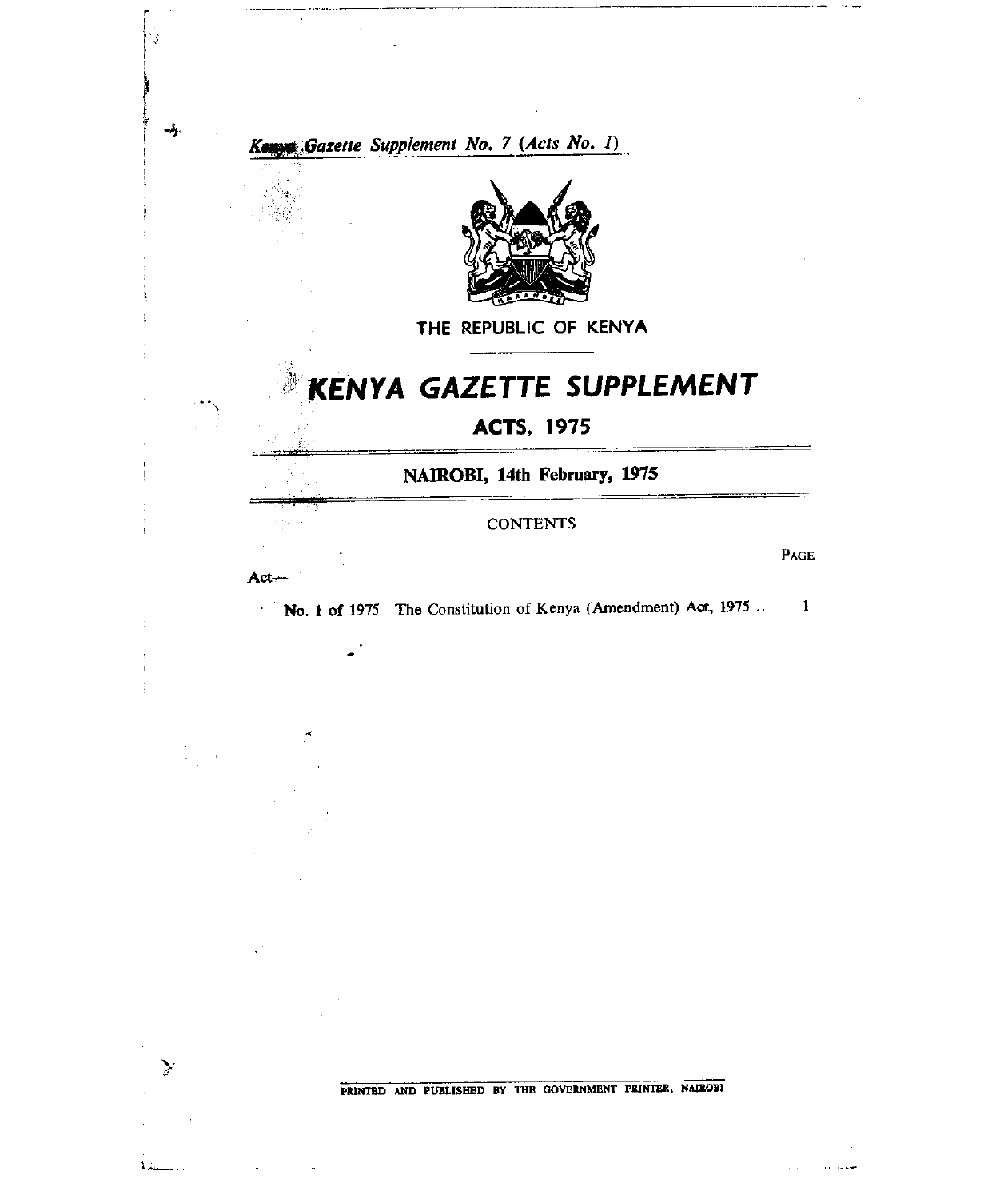